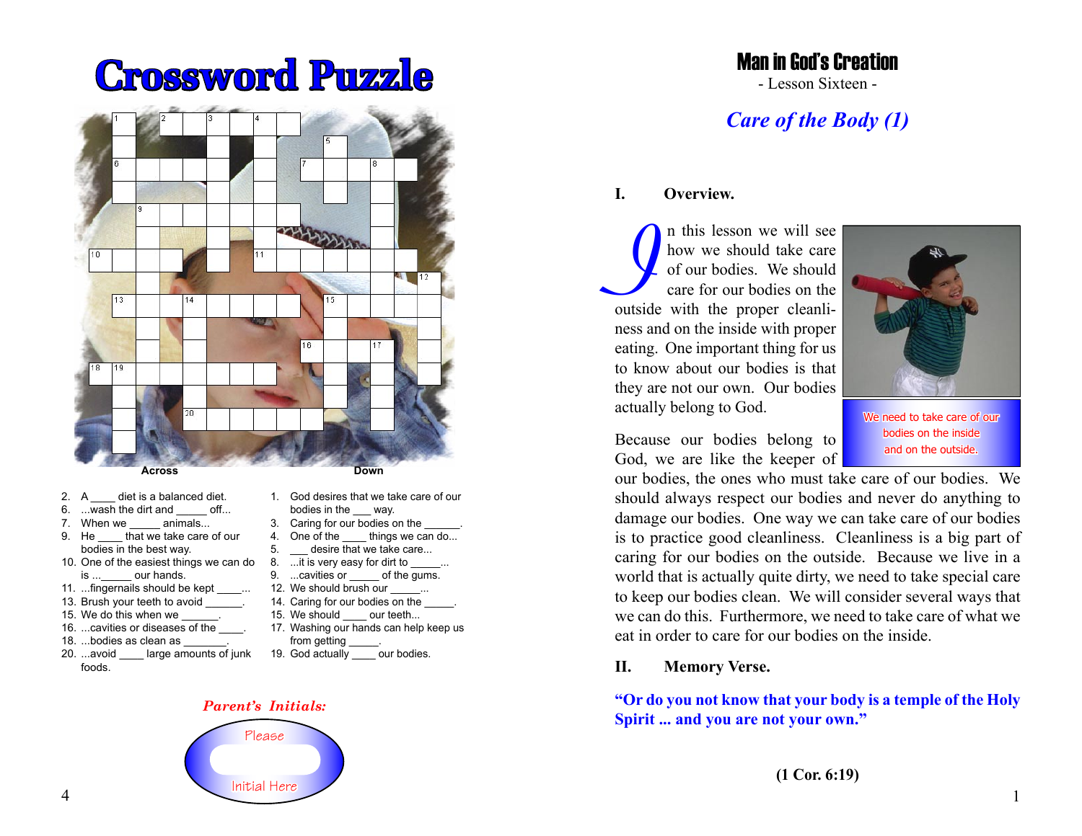# **Crossword Puzzle**



- 2. A diet is a balanced diet.
- 6. ...wash the dirt and off...
- 7. When we  $\frac{1}{2}$  animals...
- that we take care of our bodies in the best way.
- 10. One of the easiest things we can do is ... our hands.
- 11. ...fingernails should be kept
- 13. Brush your teeth to avoid
- 15. We do this when we
- 16. ...cavities or diseases of the  $\qquad$ .
- 18. ...bodies as clean as
- 20. ...avoid \_\_\_\_ large amounts of junk foods.
- **Down**
- 1. God desires that we take care of our bodies in the way.
- 3. Caring for our bodies on the
- 4. One of the things we can do...
- 5. desire that we take care...
- 8. ... it is very easy for dirt to 9. ...cavities or of the gums.
- 12. We should brush our
- 14. Caring for our bodies on the
- 15. We should our teeth...
- 17. Washing our hands can help keep us
- from getting
- 19. God actually \_\_\_\_\_ our bodies.

#### *Parent's Initials:*



## Man in God's Creation

- Lesson Sixteen -

# *Care of the Body (1)*

#### **I. Overview.**

In this lesson we will see<br>
of our bodies. We should<br>
care for our bodies on the<br>
outside with the proper cleanlin this lesson we will see how we should take care of our bodies. We should care for our bodies on the ness and on the inside with proper eating. One important thing for us to know about our bodies is that they are not our own. Our bodies actually belong to God.



We need to take care of our bodies on the inside and on the outside.

Because our bodies belong to God, we are like the keeper of

our bodies, the ones who must take care of our bodies. We should always respect our bodies and never do anything to damage our bodies. One way we can take care of our bodies is to practice good cleanliness. Cleanliness is a big part of caring for our bodies on the outside. Because we live in a world that is actually quite dirty, we need to take special care to keep our bodies clean. We will consider several ways that we can do this. Furthermore, we need to take care of what we eat in order to care for our bodies on the inside.

#### **II. Memory Verse.**

**"Or do you not know that your body is a temple of the Holy Spirit ... and you are not your own."**

1